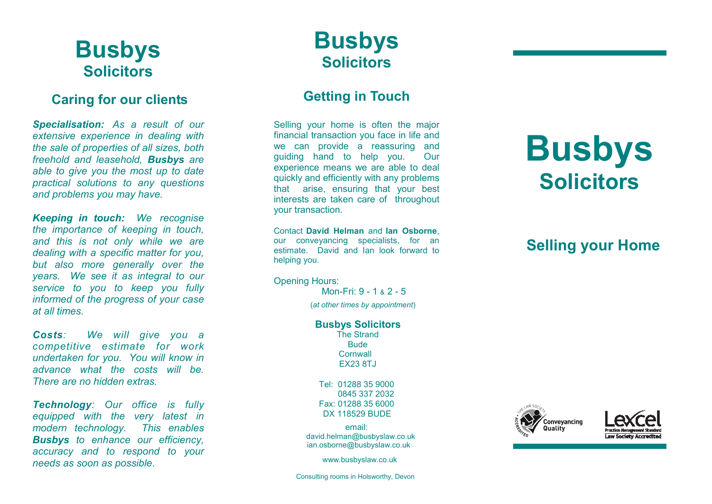# **Busbys Solicitors**

### **Caring for our clients**

*Specialisation: As a result of our extensive experience in dealing with the sale of properties of all sizes, both freehold and leasehold, Busbys are able to give you the most up to date practical solutions to any questions and problems you may have.* 

*Keeping in touch: We recognise the importance of keeping in touch, and this is not only while we are dealing with a specific matter for you, but also more generally over the years. We see it as integral to our service to you to keep you fully informed of the progress of your case at all times.* 

*Costs: We will give you a competitive estimate for work undertaken for you. You will know in advance what the costs will be. There are no hidden extras.* 

*Technology: Our office is fully equipped with the very latest in modern technology. This enables Busbys to enhance our efficiency, accuracy and to respond to your needs as soon as possible*.

# **Busbys Solicitors**

### **Getting in Touch**

Selling your home is often the major financial transaction you face in life and we can provide a reassuring and guiding hand to help you. Our experience means we are able to deal quickly and efficiently with any problems that arise, ensuring that your best interests are taken care of throughout your transaction.

Contact **David Helman** and **Ian Osborne**, our conveyancing specialists, for an estimate. David and Ian look forward to helping you.

Opening Hours:

Mon-Fri: 9 - 1 & 2 - 5

(*at other times by appointment*)

### **Busbys Solicitors**

The Strand **Bude Cornwall** EX23 8TJ

Tel: 01288 35 9000 0845 337 2032 Fax: 01288 35 6000 DX 118529 BUDE

email: david.helman@busbyslaw.co.uk ian.osborne@busbyslaw.co.uk

www.busbyslaw.co.uk

# **Busbys Solicitors**

# **Selling your Home**





Consulting rooms in Holsworthy, Devon